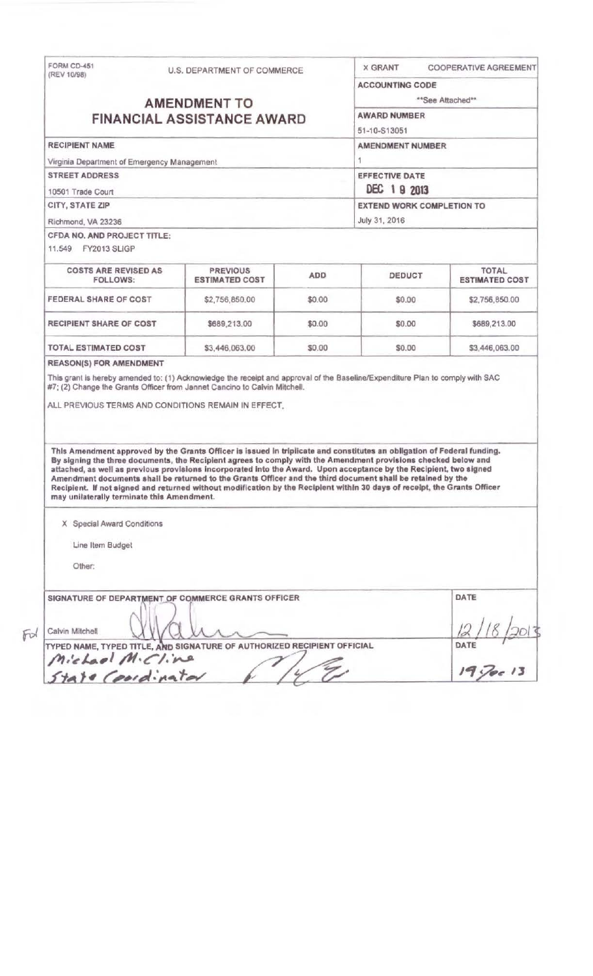| (REV 10/98)                                                                                                                                                                                                                                                                                                                                                                                                                                                                    | U.S. DEPARTMENT OF COMMERCE              |            | <b>X GRANT</b>                      | COOPERATIVE AGREEMENT                 |  |
|--------------------------------------------------------------------------------------------------------------------------------------------------------------------------------------------------------------------------------------------------------------------------------------------------------------------------------------------------------------------------------------------------------------------------------------------------------------------------------|------------------------------------------|------------|-------------------------------------|---------------------------------------|--|
|                                                                                                                                                                                                                                                                                                                                                                                                                                                                                |                                          |            | <b>ACCOUNTING CODE</b>              |                                       |  |
| <b>AMENDMENT TO</b>                                                                                                                                                                                                                                                                                                                                                                                                                                                            |                                          |            | **See Attached**                    |                                       |  |
| <b>FINANCIAL ASSISTANCE AWARD</b>                                                                                                                                                                                                                                                                                                                                                                                                                                              |                                          |            | <b>AWARD NUMBER</b><br>51-10-S13051 |                                       |  |
|                                                                                                                                                                                                                                                                                                                                                                                                                                                                                |                                          |            |                                     |                                       |  |
| Virginia Department of Emergency Management                                                                                                                                                                                                                                                                                                                                                                                                                                    |                                          |            | 1                                   |                                       |  |
| <b>STREET ADDRESS</b>                                                                                                                                                                                                                                                                                                                                                                                                                                                          |                                          |            | <b>EFFECTIVE DATE</b>               |                                       |  |
| 10501 Trade Court                                                                                                                                                                                                                                                                                                                                                                                                                                                              |                                          |            | DEC 19 2013                         |                                       |  |
| CITY, STATE ZIP                                                                                                                                                                                                                                                                                                                                                                                                                                                                |                                          |            | <b>EXTEND WORK COMPLETION TO</b>    |                                       |  |
| Richmond, VA 23236                                                                                                                                                                                                                                                                                                                                                                                                                                                             |                                          |            | July 31, 2016                       |                                       |  |
| CFDA NO, AND PROJECT TITLE:<br>11.549 FY2013 SLIGP                                                                                                                                                                                                                                                                                                                                                                                                                             |                                          |            |                                     |                                       |  |
| <b>COSTS ARE REVISED AS</b><br><b>FOLLOWS:</b>                                                                                                                                                                                                                                                                                                                                                                                                                                 | <b>PREVIOUS</b><br><b>ESTIMATED COST</b> | <b>ADD</b> | DEDUCT                              | <b>TOTAL</b><br><b>ESTIMATED COST</b> |  |
| FEDERAL SHARE OF COST                                                                                                                                                                                                                                                                                                                                                                                                                                                          | \$2,756,850.00                           | \$0.00     | \$0.00                              | \$2,756,850.00                        |  |
| RECIPIENT SHARE OF COST                                                                                                                                                                                                                                                                                                                                                                                                                                                        | \$689,213.00                             | \$0.00     | \$0.00                              | \$689,213.00                          |  |
| TOTAL ESTIMATED COST                                                                                                                                                                                                                                                                                                                                                                                                                                                           | \$3,446,063.00                           | \$0,00     | \$0.00                              | \$3,446,063.00                        |  |
|                                                                                                                                                                                                                                                                                                                                                                                                                                                                                |                                          |            |                                     |                                       |  |
| This Amendment approved by the Grants Officer is issued in triplicate and constitutes an obligation of Federal funding.<br>By signing the three documents, the Recipient agrees to comply with the Amendment provisions checked below and<br>attached, as well as previous provisions incorporated into the Award. Upon acceptance by the Recipient, two signed<br>Amendment documents shall be returned to the Grants Officer and the third document shall be retained by the |                                          |            |                                     |                                       |  |
| Recipient. If not signed and returned without modification by the Recipient within 30 days of receipt, the Grants Officer<br>may unilaterally terminate this Amendment.                                                                                                                                                                                                                                                                                                        |                                          |            |                                     |                                       |  |
| X Special Award Conditions                                                                                                                                                                                                                                                                                                                                                                                                                                                     |                                          |            |                                     |                                       |  |
| Line Item Budget                                                                                                                                                                                                                                                                                                                                                                                                                                                               |                                          |            |                                     |                                       |  |
| Other:                                                                                                                                                                                                                                                                                                                                                                                                                                                                         |                                          |            |                                     |                                       |  |